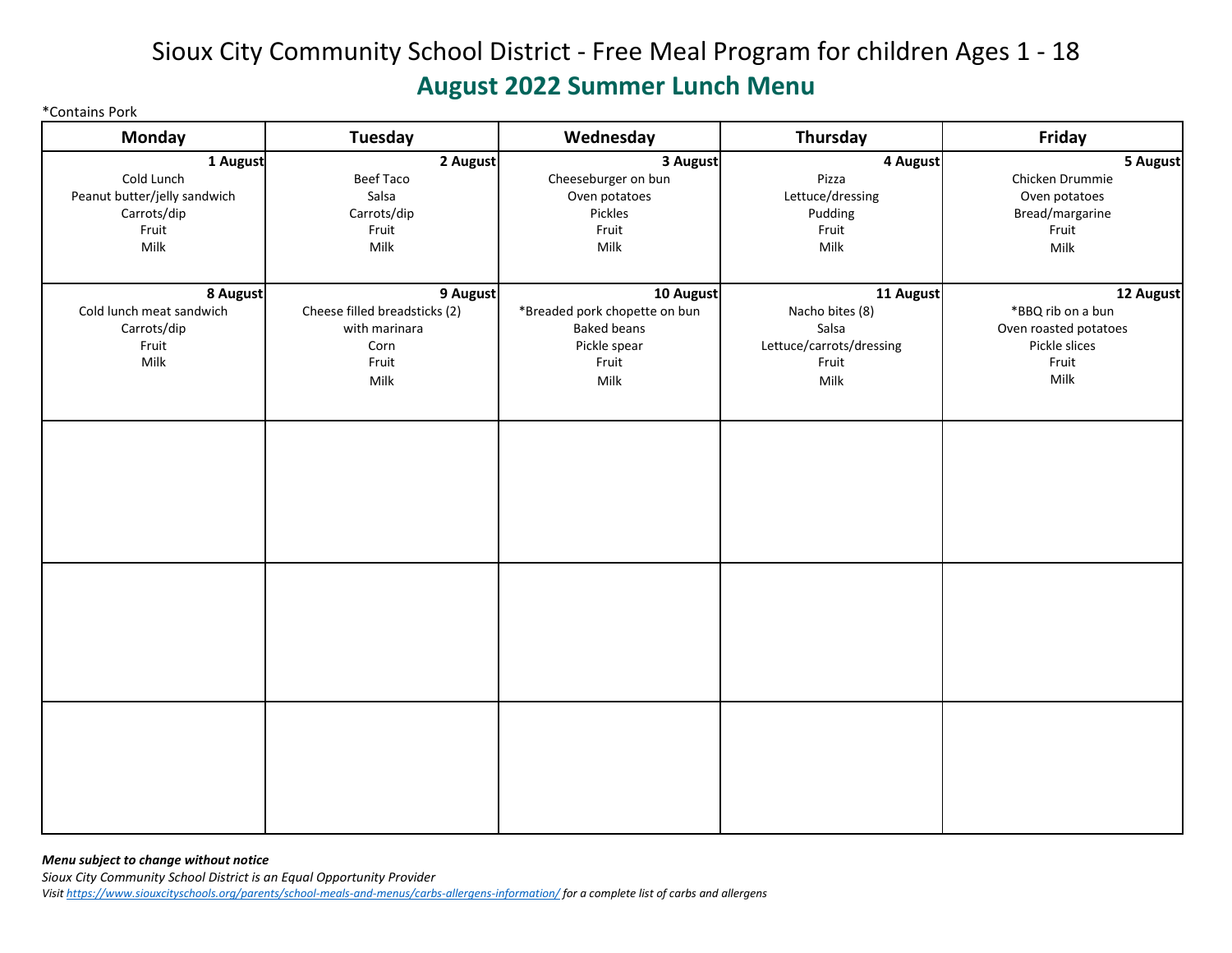## Sioux City Community School District - Free Meal Program for children Ages 1 - 18 **August 2022 Summer Lunch Menu**

\*Contains Pork

| <b>Monday</b>                | <b>Tuesday</b>                | Wednesday                     | Thursday                 | Friday                |
|------------------------------|-------------------------------|-------------------------------|--------------------------|-----------------------|
| 1 August                     | 2 August                      | 3 August                      | 4 August                 | 5 August              |
| Cold Lunch                   | <b>Beef Taco</b>              | Cheeseburger on bun           | Pizza                    | Chicken Drummie       |
| Peanut butter/jelly sandwich | Salsa                         | Oven potatoes                 | Lettuce/dressing         | Oven potatoes         |
| Carrots/dip                  | Carrots/dip                   | Pickles                       | Pudding                  | Bread/margarine       |
| Fruit                        | Fruit                         | Fruit                         | Fruit                    | Fruit                 |
| Milk                         | Milk                          | Milk                          | Milk                     | Milk                  |
|                              |                               |                               |                          |                       |
| 8 August                     | 9 August                      | 10 August                     | 11 August                | 12 August             |
| Cold lunch meat sandwich     | Cheese filled breadsticks (2) | *Breaded pork chopette on bun | Nacho bites (8)          | *BBQ rib on a bun     |
| Carrots/dip                  | with marinara                 | <b>Baked beans</b>            | Salsa                    | Oven roasted potatoes |
| Fruit                        | Corn                          | Pickle spear                  | Lettuce/carrots/dressing | Pickle slices         |
| Milk                         | Fruit                         | Fruit                         | Fruit                    | Fruit                 |
|                              | Milk                          | Milk                          | Milk                     | Milk                  |
|                              |                               |                               |                          |                       |
|                              |                               |                               |                          |                       |
|                              |                               |                               |                          |                       |
|                              |                               |                               |                          |                       |
|                              |                               |                               |                          |                       |
|                              |                               |                               |                          |                       |
|                              |                               |                               |                          |                       |
|                              |                               |                               |                          |                       |
|                              |                               |                               |                          |                       |
|                              |                               |                               |                          |                       |
|                              |                               |                               |                          |                       |
|                              |                               |                               |                          |                       |
|                              |                               |                               |                          |                       |
|                              |                               |                               |                          |                       |
|                              |                               |                               |                          |                       |
|                              |                               |                               |                          |                       |
|                              |                               |                               |                          |                       |

*Menu subject to change without notice Sioux City Community School District is an Equal Opportunity Provider Visit [https://www.siouxcityschools.org/parents/school-meals-and-menus/carbs-allergens-information/ f](https://www.siouxcityschools.org/parents/school-meals-and-menus/carbs-allergens-information/)or a complete list of carbs and allergens*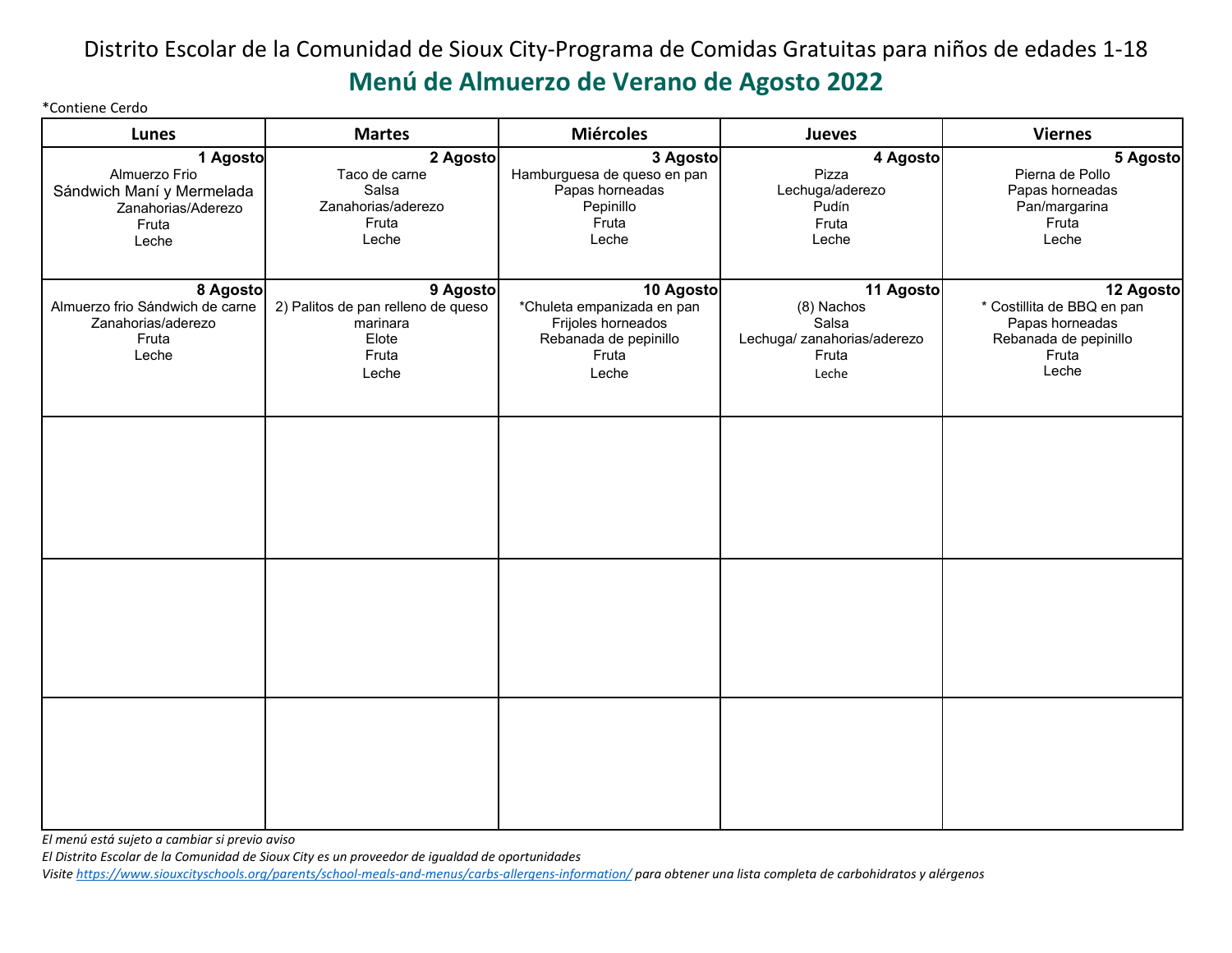#### Distrito Escolar de la Comunidad de Sioux City-Programa de Comidas Gratuitas para niños de edades 1-18 **Menú de Almuerzo de Verano de Agosto 2022**

\*Contiene Cerdo

| Lunes                                                                                          | <b>Martes</b>                                                                         | <b>Miércoles</b>                                                                                         | Jueves                                                                            | <b>Viernes</b>                                                                                        |
|------------------------------------------------------------------------------------------------|---------------------------------------------------------------------------------------|----------------------------------------------------------------------------------------------------------|-----------------------------------------------------------------------------------|-------------------------------------------------------------------------------------------------------|
| 1 Agosto<br>Almuerzo Frio<br>Sándwich Maní y Mermelada<br>Zanahorias/Aderezo<br>Fruta<br>Leche | 2 Agosto<br>Taco de carne<br>Salsa<br>Zanahorias/aderezo<br>Fruta<br>Leche            | 3 Agosto<br>Hamburguesa de queso en pan<br>Papas horneadas<br>Pepinillo<br>Fruta<br>Leche                | 4 Agosto<br>Pizza<br>Lechuga/aderezo<br>Pudín<br>Fruta<br>Leche                   | 5 Agosto<br>Pierna de Pollo<br>Papas horneadas<br>Pan/margarina<br>Fruta<br>Leche                     |
| 8 Agosto<br>Almuerzo frio Sándwich de carne<br>Zanahorias/aderezo<br>Fruta<br>Leche            | 9 Agosto<br>2) Palitos de pan relleno de queso<br>marinara<br>Elote<br>Fruta<br>Leche | 10 Agosto<br>*Chuleta empanizada en pan<br>Frijoles horneados<br>Rebanada de pepinillo<br>Fruta<br>Leche | 11 Agosto<br>(8) Nachos<br>Salsa<br>Lechuga/ zanahorias/aderezo<br>Fruta<br>Leche | 12 Agosto<br>* Costillita de BBQ en pan<br>Papas horneadas<br>Rebanada de pepinillo<br>Fruta<br>Leche |
|                                                                                                |                                                                                       |                                                                                                          |                                                                                   |                                                                                                       |
|                                                                                                |                                                                                       |                                                                                                          |                                                                                   |                                                                                                       |
|                                                                                                |                                                                                       |                                                                                                          |                                                                                   |                                                                                                       |

*El menú está sujeto a cambiar si previo aviso* 

*El Distrito Escolar de la Comunidad de Sioux City es un proveedor de igualdad de oportunidades* 

*Visit[e https://www.siouxcityschools.org/parents/school-meals-and-menus/carbs-allergens-information/](https://www.siouxcityschools.org/parents/school-meals-and-menus/carbs-allergens-information/) para obtener una lista completa de carbohidratos y alérgenos*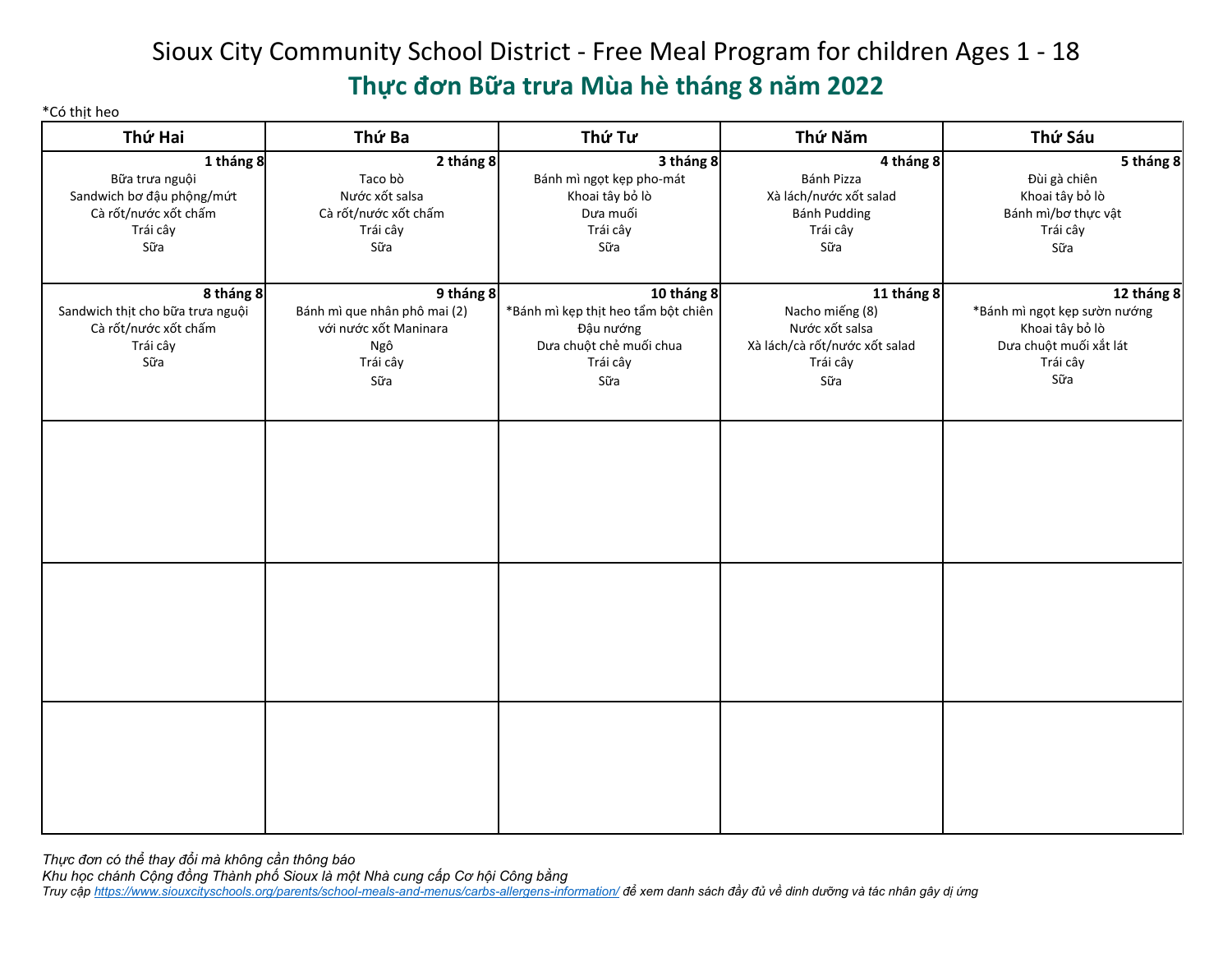# Sioux City Community School District - Free Meal Program for children Ages 1 - 18 **Thực đơn Bữa trưa Mùa hè tháng 8 năm 2022**

\*Có thịt heo

| Thứ Hai                          | Thứ Ba                       | Thứ Tư                              | Thứ Năm                       | Thứ Sáu                      |
|----------------------------------|------------------------------|-------------------------------------|-------------------------------|------------------------------|
| 1 tháng 8                        | 2 tháng 8                    | 3 tháng 8                           | 4 tháng 8                     | 5 tháng 8                    |
| Bữa trưa nguội                   | Taco bò                      | Bánh mì ngọt kẹp pho-mát            | Bánh Pizza                    | Đùi gà chiên                 |
| Sandwich bơ đậu phộng/mứt        | Nước xốt salsa               | Khoai tây bỏ lò                     | Xà lách/nước xốt salad        | Khoai tây bỏ lò              |
| Cà rốt/nước xốt chấm             | Cà rốt/nước xốt chấm         | Dưa muối                            | Bánh Pudding                  | Bánh mì/bơ thực vật          |
| Trái cây                         | Trái cây                     | Trái cây                            | Trái cây                      | Trái cây                     |
| Sữa                              | Sữa                          | Sữa                                 | Sữa                           | Sữa                          |
| 8 tháng 8                        | 9 tháng 8                    | 10 tháng 8                          | 11 tháng 8                    | $\overline{12}$ tháng 8      |
| Sandwich thịt cho bữa trưa nguội | Bánh mì que nhân phô mai (2) | *Bánh mì kẹp thịt heo tẩm bột chiên | Nacho miếng (8)               | *Bánh mì ngọt kẹp sườn nướng |
| Cà rốt/nước xốt chấm             | với nước xốt Maninara        | Đậu nướng                           | Nước xốt salsa                | Khoai tây bỏ lò              |
| Trái cây                         | Ngô                          | Dưa chuột chẻ muối chua             | Xà lách/cà rốt/nước xốt salad | Dưa chuột muối xắt lát       |
| Sữa                              | Trái cây                     | Trái cây                            | Trái cây                      | Trái cây                     |
|                                  | Sữa                          | Sữa                                 | Sữa                           | Sữa                          |
|                                  |                              |                                     |                               |                              |
|                                  |                              |                                     |                               |                              |
|                                  |                              |                                     |                               |                              |
|                                  |                              |                                     |                               |                              |
|                                  |                              |                                     |                               |                              |
|                                  |                              |                                     |                               |                              |
|                                  |                              |                                     |                               |                              |
|                                  |                              |                                     |                               |                              |
|                                  |                              |                                     |                               |                              |
|                                  |                              |                                     |                               |                              |
|                                  |                              |                                     |                               |                              |
|                                  |                              |                                     |                               |                              |
|                                  |                              |                                     |                               |                              |
|                                  |                              |                                     |                               |                              |
|                                  |                              |                                     |                               |                              |
|                                  |                              |                                     |                               |                              |

 *Thực đơn có thể thay đổi mà không cần thông báo Khu học chánh Cộng đồng Thành phố Sioux là một Nhà cung cấp Cơ hội Công bằng*  Truy cập <u>https://www.siouxcityschools.org/parents/school-meals-and-menus/carbs-allergens-information/</u> để xem danh sách đầy đủ về dinh dưỡng và tác nhân gây dị ứng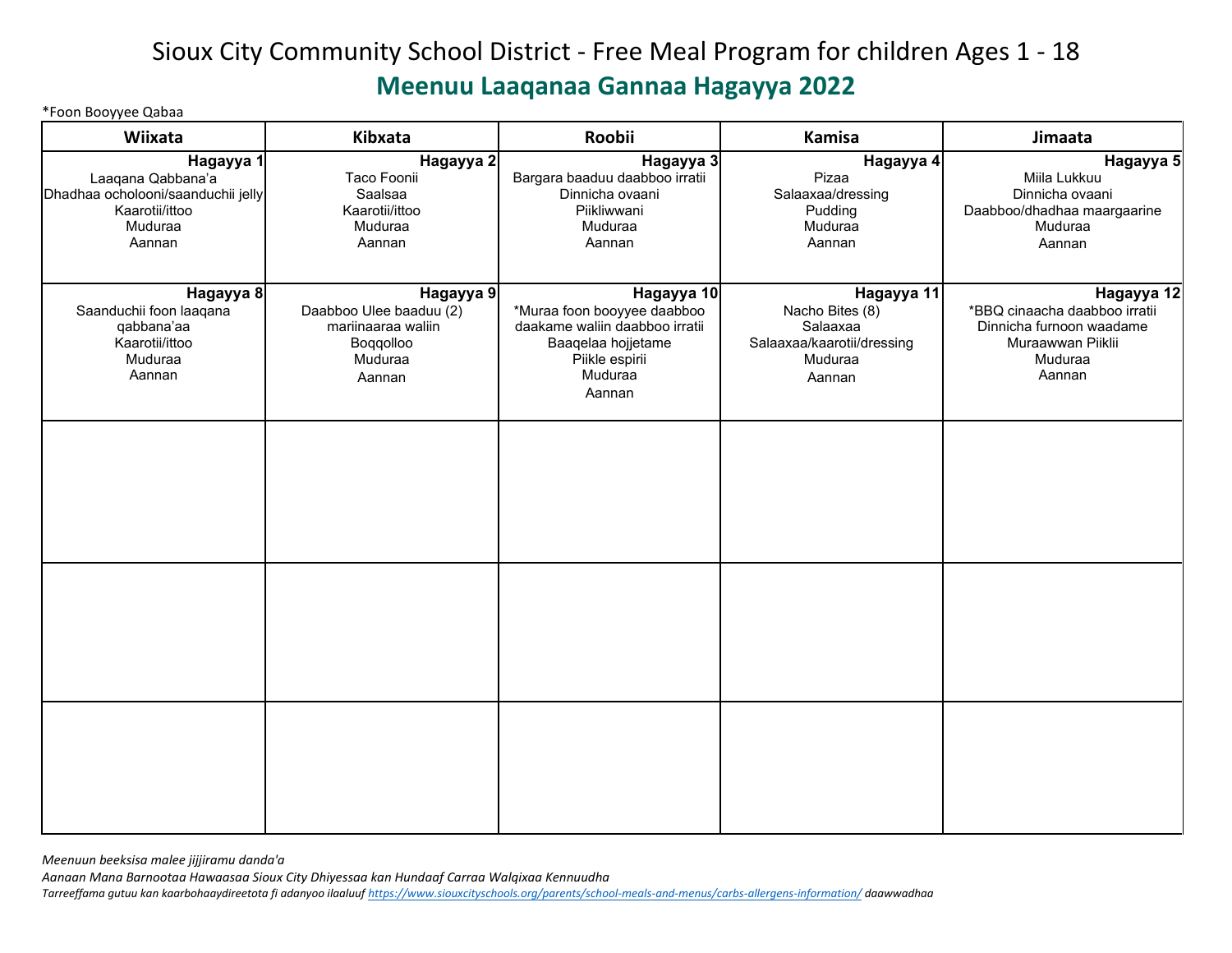# Sioux City Community School District - Free Meal Program for children Ages 1 - 18 **Meenuu Laaqanaa Gannaa Hagayya 2022**

\*Foon Booyyee Qabaa

| Wiixata                                                                                                     | Kibxata                                                                                      | Roobii                                                                                                                                   | <b>Kamisa</b>                                                                                | Jimaata                                                                                                           |
|-------------------------------------------------------------------------------------------------------------|----------------------------------------------------------------------------------------------|------------------------------------------------------------------------------------------------------------------------------------------|----------------------------------------------------------------------------------------------|-------------------------------------------------------------------------------------------------------------------|
| Hagayya 1<br>Laaqana Qabbana'a<br>Dhadhaa ocholooni/saanduchii jelly<br>Kaarotii/ittoo<br>Muduraa<br>Aannan | Hagayya 2<br>Taco Foonii<br>Saalsaa<br>Kaarotii/ittoo<br>Muduraa<br>Aannan                   | Hagayya 3<br>Bargara baaduu daabboo irratii<br>Dinnicha ovaani<br>Piikliwwani<br>Muduraa<br>Aannan                                       | Hagayya 4<br>Pizaa<br>Salaaxaa/dressing<br>Pudding<br>Muduraa<br>Aannan                      | Hagayya 5<br>Miila Lukkuu<br>Dinnicha ovaani<br>Daabboo/dhadhaa maargaarine<br>Muduraa<br>Aannan                  |
| Hagayya 8<br>Saanduchii foon laaqana<br>qabbana'aa<br>Kaarotii/ittoo<br>Muduraa<br>Aannan                   | Hagayya 9<br>Daabboo Ulee baaduu (2)<br>mariinaaraa waliin<br>Boqqolloo<br>Muduraa<br>Aannan | Hagayya 10<br>*Muraa foon booyyee daabboo<br>daakame waliin daabboo irratii<br>Baaqelaa hojjetame<br>Piikle espirii<br>Muduraa<br>Aannan | Hagayya 11<br>Nacho Bites (8)<br>Salaaxaa<br>Salaaxaa/kaarotii/dressing<br>Muduraa<br>Aannan | Hagayya 12<br>*BBQ cinaacha daabboo irratii<br>Dinnicha furnoon waadame<br>Muraawwan Piiklii<br>Muduraa<br>Aannan |
|                                                                                                             |                                                                                              |                                                                                                                                          |                                                                                              |                                                                                                                   |
|                                                                                                             |                                                                                              |                                                                                                                                          |                                                                                              |                                                                                                                   |
|                                                                                                             |                                                                                              |                                                                                                                                          |                                                                                              |                                                                                                                   |

*Meenuun beeksisa malee jijjiramu danda'a* 

*Aanaan Mana Barnootaa Hawaasaa Sioux City Dhiyessaa kan Hundaaf Carraa Walqixaa Kennuudha Tarreeffama gutuu kan kaarbohaaydireetota fi adanyoo ilaaluuf [https://www.siouxcityschools.org/parents/school-meals-and-menus/carbs-allergens-information/ d](https://www.siouxcityschools.org/parents/school-meals-and-menus/carbs-allergens-information/)aawwadhaa*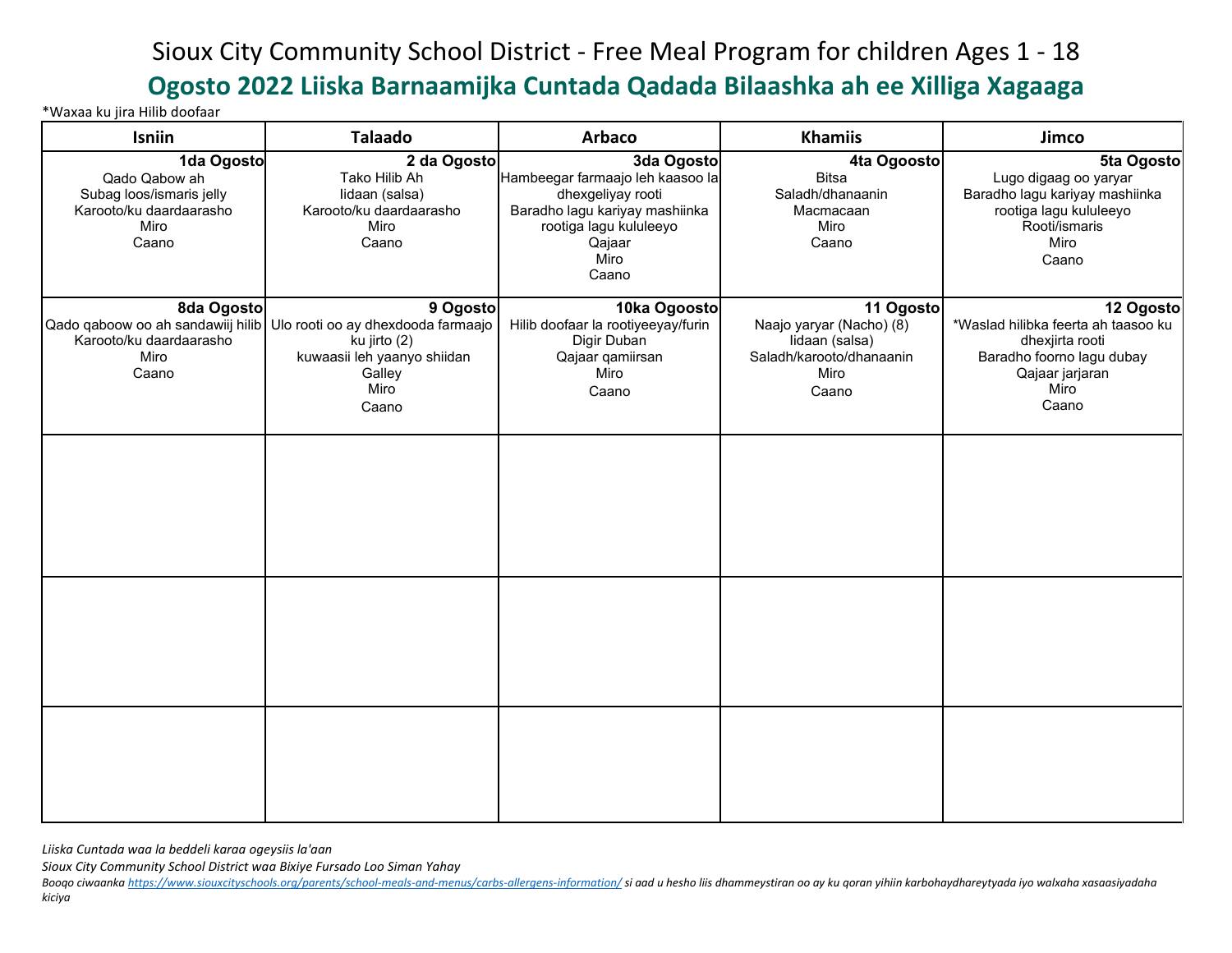## Sioux City Community School District - Free Meal Program for children Ages 1 - 18 **Ogosto 2022 Liiska Barnaamijka Cuntada Qadada Bilaashka ah ee Xilliga Xagaaga**

\*Waxaa ku jira Hilib doofaar

| Isniin                                                                                              | <b>Talaado</b>                                                                                                                                             | <b>Arbaco</b>                                                                                                                                              | <b>Khamiis</b>                                                                                       | Jimco                                                                                                                                |
|-----------------------------------------------------------------------------------------------------|------------------------------------------------------------------------------------------------------------------------------------------------------------|------------------------------------------------------------------------------------------------------------------------------------------------------------|------------------------------------------------------------------------------------------------------|--------------------------------------------------------------------------------------------------------------------------------------|
| 1da Ogosto<br>Qado Qabow ah<br>Subag loos/ismaris jelly<br>Karooto/ku daardaarasho<br>Miro<br>Caano | 2 da Ogosto<br>Tako Hilib Ah<br>lidaan (salsa)<br>Karooto/ku daardaarasho<br>Miro<br>Caano                                                                 | 3da Ogosto<br>Hambeegar farmaajo leh kaasoo la<br>dhexgeliyay rooti<br>Baradho lagu kariyay mashiinka<br>rootiga lagu kululeeyo<br>Qajaar<br>Miro<br>Caano | 4ta Ogoosto<br><b>Bitsa</b><br>Saladh/dhanaanin<br>Macmacaan<br>Miro<br>Caano                        | 5ta Ogosto<br>Lugo digaag oo yaryar<br>Baradho lagu kariyay mashiinka<br>rootiga lagu kululeeyo<br>Rooti/ismaris<br>Miro<br>Caano    |
| 8da Ogosto<br>Karooto/ku daardaarasho<br>Miro<br>Caano                                              | 9 Ogosto<br>Qado qaboow oo ah sandawiij hilib Ulo rooti oo ay dhexdooda farmaajo<br>ku jirto (2)<br>kuwaasii leh yaanyo shiidan<br>Galley<br>Miro<br>Caano | 10ka Ogoosto<br>Hilib doofaar la rootiyeeyay/furin<br>Digir Duban<br>Qajaar qamiirsan<br>Miro<br>Caano                                                     | 11 Ogosto<br>Naajo yaryar (Nacho) (8)<br>lidaan (salsa)<br>Saladh/karooto/dhanaanin<br>Miro<br>Caano | 12 Ogosto<br>*Waslad hilibka feerta ah taasoo ku<br>dhexjirta rooti<br>Baradho foorno lagu dubay<br>Qajaar jarjaran<br>Miro<br>Caano |
|                                                                                                     |                                                                                                                                                            |                                                                                                                                                            |                                                                                                      |                                                                                                                                      |
|                                                                                                     |                                                                                                                                                            |                                                                                                                                                            |                                                                                                      |                                                                                                                                      |
|                                                                                                     |                                                                                                                                                            |                                                                                                                                                            |                                                                                                      |                                                                                                                                      |

*Liiska Cuntada waa la beddeli karaa ogeysiis la'aan* 

*Sioux City Community School District waa Bixiye Fursado Loo Siman Yahay* 

Booqo ciwaanka <u>https://www.siouxcityschools.orq/parents/school-meals-and-menus/carbs-allergens-information/</u> si aad u hesho liis dhammeystiran oo ay ku qoran yihiin karbohaydhareytyada iyo walxaha xasaasiyadaha